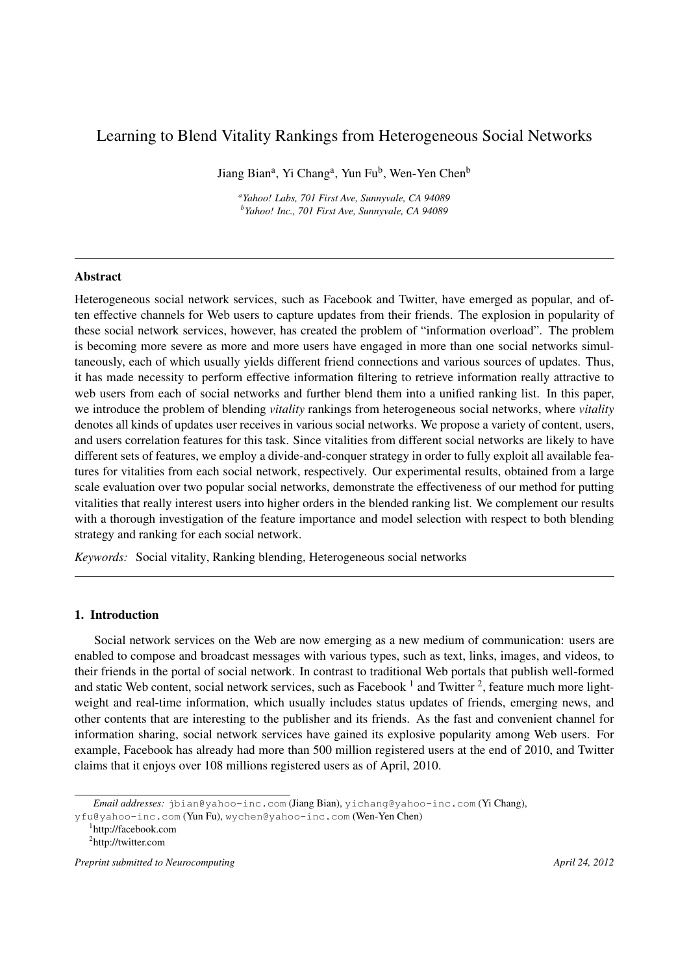# Learning to Blend Vitality Rankings from Heterogeneous Social Networks

Jiang Bian<sup>a</sup>, Yi Chang<sup>a</sup>, Yun Fu<sup>b</sup>, Wen-Yen Chen<sup>b</sup>

*a Yahoo! Labs, 701 First Ave, Sunnyvale, CA 94089 b Yahoo! Inc., 701 First Ave, Sunnyvale, CA 94089*

# Abstract

Heterogeneous social network services, such as Facebook and Twitter, have emerged as popular, and often effective channels for Web users to capture updates from their friends. The explosion in popularity of these social network services, however, has created the problem of "information overload". The problem is becoming more severe as more and more users have engaged in more than one social networks simultaneously, each of which usually yields different friend connections and various sources of updates. Thus, it has made necessity to perform effective information filtering to retrieve information really attractive to web users from each of social networks and further blend them into a unified ranking list. In this paper, we introduce the problem of blending *vitality* rankings from heterogeneous social networks, where *vitality* denotes all kinds of updates user receives in various social networks. We propose a variety of content, users, and users correlation features for this task. Since vitalities from different social networks are likely to have different sets of features, we employ a divide-and-conquer strategy in order to fully exploit all available features for vitalities from each social network, respectively. Our experimental results, obtained from a large scale evaluation over two popular social networks, demonstrate the effectiveness of our method for putting vitalities that really interest users into higher orders in the blended ranking list. We complement our results with a thorough investigation of the feature importance and model selection with respect to both blending strategy and ranking for each social network.

*Keywords:* Social vitality, Ranking blending, Heterogeneous social networks

# 1. Introduction

Social network services on the Web are now emerging as a new medium of communication: users are enabled to compose and broadcast messages with various types, such as text, links, images, and videos, to their friends in the portal of social network. In contrast to traditional Web portals that publish well-formed and static Web content, social network services, such as Facebook  $<sup>1</sup>$  and Twitter  $<sup>2</sup>$ , feature much more light-</sup></sup> weight and real-time information, which usually includes status updates of friends, emerging news, and other contents that are interesting to the publisher and its friends. As the fast and convenient channel for information sharing, social network services have gained its explosive popularity among Web users. For example, Facebook has already had more than 500 million registered users at the end of 2010, and Twitter claims that it enjoys over 108 millions registered users as of April, 2010.

*Email addresses:* jbian@yahoo-inc.com (Jiang Bian), yichang@yahoo-inc.com (Yi Chang),

yfu@yahoo-inc.com (Yun Fu), wychen@yahoo-inc.com (Wen-Yen Chen)

<sup>1</sup> http://facebook.com

<sup>&</sup>lt;sup>2</sup>http://twitter.com

*Preprint submitted to Neurocomputing April 24, 2012*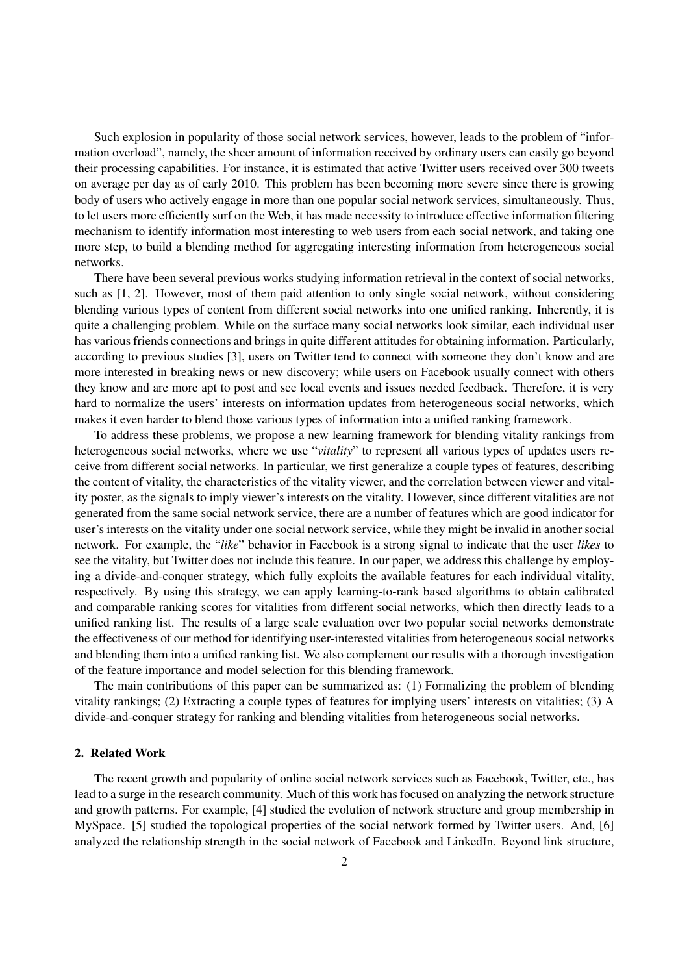Such explosion in popularity of those social network services, however, leads to the problem of "information overload", namely, the sheer amount of information received by ordinary users can easily go beyond their processing capabilities. For instance, it is estimated that active Twitter users received over 300 tweets on average per day as of early 2010. This problem has been becoming more severe since there is growing body of users who actively engage in more than one popular social network services, simultaneously. Thus, to let users more efficiently surf on the Web, it has made necessity to introduce effective information filtering mechanism to identify information most interesting to web users from each social network, and taking one more step, to build a blending method for aggregating interesting information from heterogeneous social networks.

There have been several previous works studying information retrieval in the context of social networks, such as [1, 2]. However, most of them paid attention to only single social network, without considering blending various types of content from different social networks into one unified ranking. Inherently, it is quite a challenging problem. While on the surface many social networks look similar, each individual user has various friends connections and brings in quite different attitudes for obtaining information. Particularly, according to previous studies [3], users on Twitter tend to connect with someone they don't know and are more interested in breaking news or new discovery; while users on Facebook usually connect with others they know and are more apt to post and see local events and issues needed feedback. Therefore, it is very hard to normalize the users' interests on information updates from heterogeneous social networks, which makes it even harder to blend those various types of information into a unified ranking framework.

To address these problems, we propose a new learning framework for blending vitality rankings from heterogeneous social networks, where we use "*vitality*" to represent all various types of updates users receive from different social networks. In particular, we first generalize a couple types of features, describing the content of vitality, the characteristics of the vitality viewer, and the correlation between viewer and vitality poster, as the signals to imply viewer's interests on the vitality. However, since different vitalities are not generated from the same social network service, there are a number of features which are good indicator for user's interests on the vitality under one social network service, while they might be invalid in another social network. For example, the "*like*" behavior in Facebook is a strong signal to indicate that the user *likes* to see the vitality, but Twitter does not include this feature. In our paper, we address this challenge by employing a divide-and-conquer strategy, which fully exploits the available features for each individual vitality, respectively. By using this strategy, we can apply learning-to-rank based algorithms to obtain calibrated and comparable ranking scores for vitalities from different social networks, which then directly leads to a unified ranking list. The results of a large scale evaluation over two popular social networks demonstrate the effectiveness of our method for identifying user-interested vitalities from heterogeneous social networks and blending them into a unified ranking list. We also complement our results with a thorough investigation of the feature importance and model selection for this blending framework.

The main contributions of this paper can be summarized as: (1) Formalizing the problem of blending vitality rankings; (2) Extracting a couple types of features for implying users' interests on vitalities; (3) A divide-and-conquer strategy for ranking and blending vitalities from heterogeneous social networks.

#### 2. Related Work

The recent growth and popularity of online social network services such as Facebook, Twitter, etc., has lead to a surge in the research community. Much of this work has focused on analyzing the network structure and growth patterns. For example, [4] studied the evolution of network structure and group membership in MySpace. [5] studied the topological properties of the social network formed by Twitter users. And, [6] analyzed the relationship strength in the social network of Facebook and LinkedIn. Beyond link structure,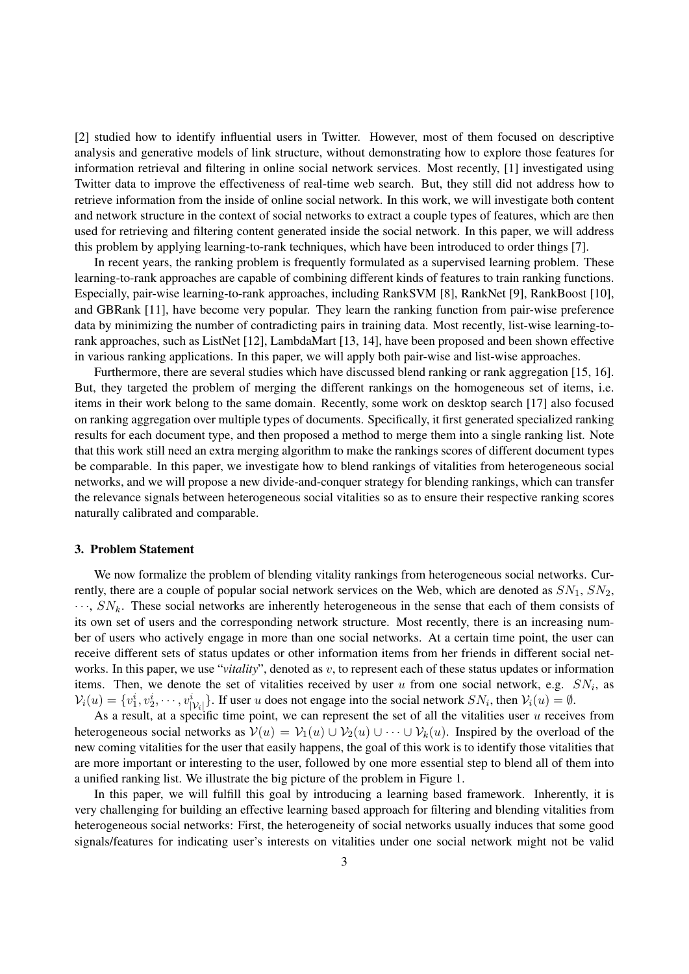[2] studied how to identify influential users in Twitter. However, most of them focused on descriptive analysis and generative models of link structure, without demonstrating how to explore those features for information retrieval and filtering in online social network services. Most recently, [1] investigated using Twitter data to improve the effectiveness of real-time web search. But, they still did not address how to retrieve information from the inside of online social network. In this work, we will investigate both content and network structure in the context of social networks to extract a couple types of features, which are then used for retrieving and filtering content generated inside the social network. In this paper, we will address this problem by applying learning-to-rank techniques, which have been introduced to order things [7].

In recent years, the ranking problem is frequently formulated as a supervised learning problem. These learning-to-rank approaches are capable of combining different kinds of features to train ranking functions. Especially, pair-wise learning-to-rank approaches, including RankSVM [8], RankNet [9], RankBoost [10], and GBRank [11], have become very popular. They learn the ranking function from pair-wise preference data by minimizing the number of contradicting pairs in training data. Most recently, list-wise learning-torank approaches, such as ListNet [12], LambdaMart [13, 14], have been proposed and been shown effective in various ranking applications. In this paper, we will apply both pair-wise and list-wise approaches.

Furthermore, there are several studies which have discussed blend ranking or rank aggregation [15, 16]. But, they targeted the problem of merging the different rankings on the homogeneous set of items, i.e. items in their work belong to the same domain. Recently, some work on desktop search [17] also focused on ranking aggregation over multiple types of documents. Specifically, it first generated specialized ranking results for each document type, and then proposed a method to merge them into a single ranking list. Note that this work still need an extra merging algorithm to make the rankings scores of different document types be comparable. In this paper, we investigate how to blend rankings of vitalities from heterogeneous social networks, and we will propose a new divide-and-conquer strategy for blending rankings, which can transfer the relevance signals between heterogeneous social vitalities so as to ensure their respective ranking scores naturally calibrated and comparable.

# 3. Problem Statement

We now formalize the problem of blending vitality rankings from heterogeneous social networks. Currently, there are a couple of popular social network services on the Web, which are denoted as *SN*1, *SN*2, *· · ·*, *SNk*. These social networks are inherently heterogeneous in the sense that each of them consists of its own set of users and the corresponding network structure. Most recently, there is an increasing number of users who actively engage in more than one social networks. At a certain time point, the user can receive different sets of status updates or other information items from her friends in different social networks. In this paper, we use "*vitality*", denoted as *v*, to represent each of these status updates or information items. Then, we denote the set of vitalities received by user  $u$  from one social network, e.g.  $SN_i$ , as  $V_i(u) = \{v_1^i, v_2^i, \cdots, v_{|V_i|}^i\}$ . If user u does not engage into the social network  $SN_i$ , then  $V_i(u) = \emptyset$ .

As a result, at a specific time point, we can represent the set of all the vitalities user *u* receives from heterogeneous social networks as  $V(u) = V_1(u) \cup V_2(u) \cup \cdots \cup V_k(u)$ . Inspired by the overload of the new coming vitalities for the user that easily happens, the goal of this work is to identify those vitalities that are more important or interesting to the user, followed by one more essential step to blend all of them into a unified ranking list. We illustrate the big picture of the problem in Figure 1.

In this paper, we will fulfill this goal by introducing a learning based framework. Inherently, it is very challenging for building an effective learning based approach for filtering and blending vitalities from heterogeneous social networks: First, the heterogeneity of social networks usually induces that some good signals/features for indicating user's interests on vitalities under one social network might not be valid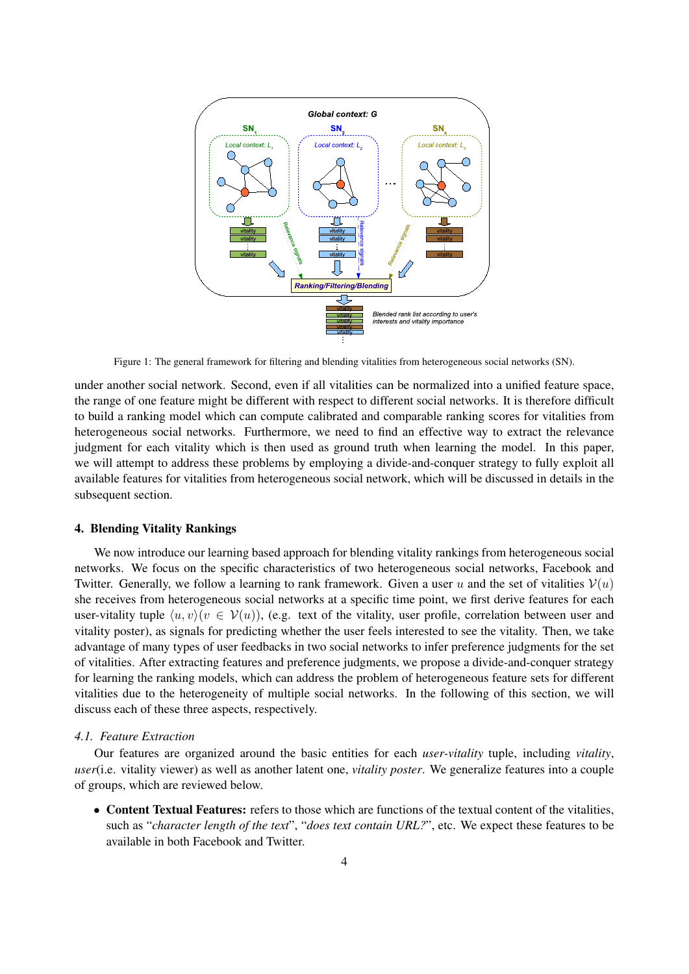

Figure 1: The general framework for filtering and blending vitalities from heterogeneous social networks (SN).

under another social network. Second, even if all vitalities can be normalized into a unified feature space, the range of one feature might be different with respect to different social networks. It is therefore difficult to build a ranking model which can compute calibrated and comparable ranking scores for vitalities from heterogeneous social networks. Furthermore, we need to find an effective way to extract the relevance judgment for each vitality which is then used as ground truth when learning the model. In this paper, we will attempt to address these problems by employing a divide-and-conquer strategy to fully exploit all available features for vitalities from heterogeneous social network, which will be discussed in details in the subsequent section.

# 4. Blending Vitality Rankings

We now introduce our learning based approach for blending vitality rankings from heterogeneous social networks. We focus on the specific characteristics of two heterogeneous social networks, Facebook and Twitter. Generally, we follow a learning to rank framework. Given a user *u* and the set of vitalities  $V(u)$ she receives from heterogeneous social networks at a specific time point, we first derive features for each user-vitality tuple  $\langle u, v \rangle (v \in V(u))$ , (e.g. text of the vitality, user profile, correlation between user and vitality poster), as signals for predicting whether the user feels interested to see the vitality. Then, we take advantage of many types of user feedbacks in two social networks to infer preference judgments for the set of vitalities. After extracting features and preference judgments, we propose a divide-and-conquer strategy for learning the ranking models, which can address the problem of heterogeneous feature sets for different vitalities due to the heterogeneity of multiple social networks. In the following of this section, we will discuss each of these three aspects, respectively.

#### *4.1. Feature Extraction*

Our features are organized around the basic entities for each *user-vitality* tuple, including *vitality*, *user*(i.e. vitality viewer) as well as another latent one, *vitality poster*. We generalize features into a couple of groups, which are reviewed below.

• Content Textual Features: refers to those which are functions of the textual content of the vitalities, such as "*character length of the text*", "*does text contain URL?*", etc. We expect these features to be available in both Facebook and Twitter.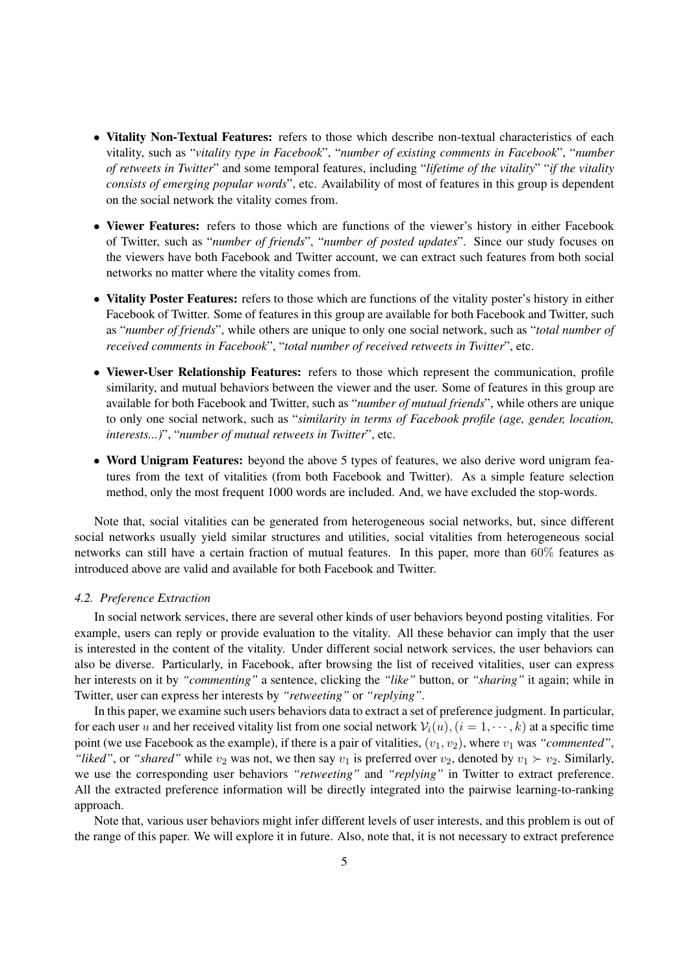- Vitality Non-Textual Features: refers to those which describe non-textual characteristics of each vitality, such as "*vitality type in Facebook*", "*number of existing comments in Facebook*", "*number of retweets in Twitter*" and some temporal features, including "*lifetime of the vitality*" "*if the vitality consists of emerging popular words*", etc. Availability of most of features in this group is dependent on the social network the vitality comes from.
- Viewer Features: refers to those which are functions of the viewer's history in either Facebook of Twitter, such as "*number of friends*", "*number of posted updates*". Since our study focuses on the viewers have both Facebook and Twitter account, we can extract such features from both social networks no matter where the vitality comes from.
- Vitality Poster Features: refers to those which are functions of the vitality poster's history in either Facebook of Twitter. Some of features in this group are available for both Facebook and Twitter, such as "*number of friends*", while others are unique to only one social network, such as "*total number of received comments in Facebook*", "*total number of received retweets in Twitter*", etc.
- *•* Viewer-User Relationship Features: refers to those which represent the communication, profile similarity, and mutual behaviors between the viewer and the user. Some of features in this group are available for both Facebook and Twitter, such as "*number of mutual friends*", while others are unique to only one social network, such as "*similarity in terms of Facebook profile (age, gender, location, interests...)*", "*number of mutual retweets in Twitter*", etc.
- Word Unigram Features: beyond the above 5 types of features, we also derive word unigram features from the text of vitalities (from both Facebook and Twitter). As a simple feature selection method, only the most frequent 1000 words are included. And, we have excluded the stop-words.

Note that, social vitalities can be generated from heterogeneous social networks, but, since different social networks usually yield similar structures and utilities, social vitalities from heterogeneous social networks can still have a certain fraction of mutual features. In this paper, more than 60% features as introduced above are valid and available for both Facebook and Twitter.

#### *4.2. Preference Extraction*

In social network services, there are several other kinds of user behaviors beyond posting vitalities. For example, users can reply or provide evaluation to the vitality. All these behavior can imply that the user is interested in the content of the vitality. Under different social network services, the user behaviors can also be diverse. Particularly, in Facebook, after browsing the list of received vitalities, user can express her interests on it by *"commenting"* a sentence, clicking the *"like"* button, or *"sharing"* it again; while in Twitter, user can express her interests by *"retweeting"* or *"replying"*.

In this paper, we examine such users behaviors data to extract a set of preference judgment. In particular, for each user *u* and her received vitality list from one social network  $V_i(u)$ ,  $(i = 1, \dots, k)$  at a specific time point (we use Facebook as the example), if there is a pair of vitalities,  $(v_1, v_2)$ , where  $v_1$  was *"commented"*, *"liked"*, or *"shared"* while  $v_2$  was not, we then say  $v_1$  is preferred over  $v_2$ , denoted by  $v_1 \succ v_2$ . Similarly, we use the corresponding user behaviors *"retweeting"* and *"replying"* in Twitter to extract preference. All the extracted preference information will be directly integrated into the pairwise learning-to-ranking approach.

Note that, various user behaviors might infer different levels of user interests, and this problem is out of the range of this paper. We will explore it in future. Also, note that, it is not necessary to extract preference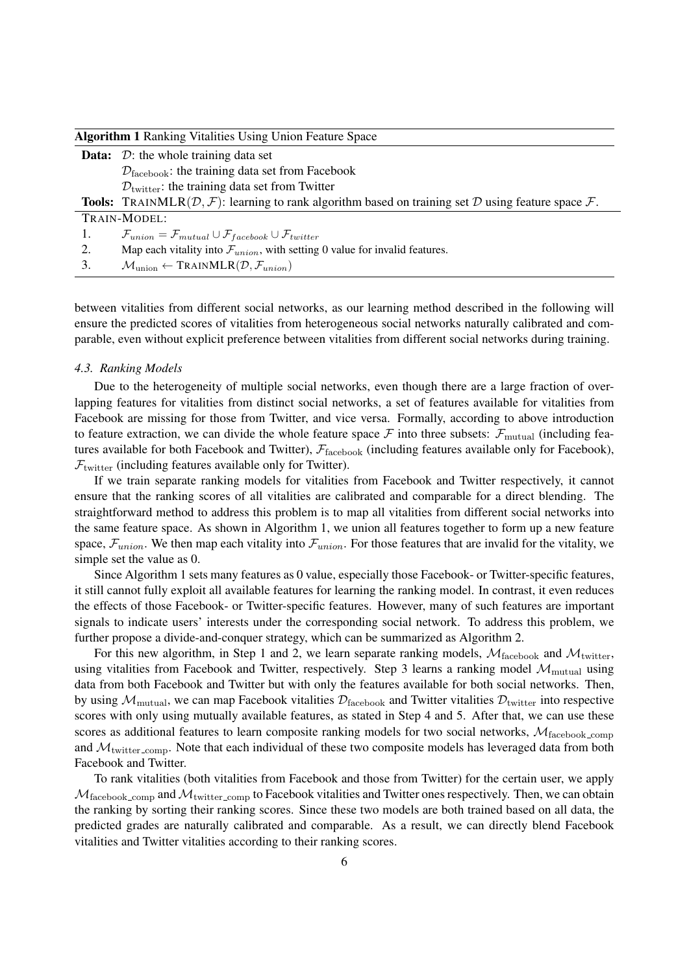| <b>Algorithm 1 Ranking Vitalities Using Union Feature Space</b> |                                                                                                                     |  |  |  |
|-----------------------------------------------------------------|---------------------------------------------------------------------------------------------------------------------|--|--|--|
|                                                                 | <b>Data:</b> $\mathcal{D}$ : the whole training data set                                                            |  |  |  |
|                                                                 | $\mathcal{D}_{\text{facebook}}$ : the training data set from Facebook                                               |  |  |  |
|                                                                 | $\mathcal{D}_{\text{twitter}}$ : the training data set from Twitter                                                 |  |  |  |
|                                                                 | <b>Tools:</b> TRAINMLR( $D$ , $F$ ): learning to rank algorithm based on training set $D$ using feature space $F$ . |  |  |  |
|                                                                 | TRAIN-MODEL:                                                                                                        |  |  |  |
|                                                                 | $\mathcal{F}_{union} = \mathcal{F}_{mutual} \cup \mathcal{F}_{facebook} \cup \mathcal{F}_{twitter}$                 |  |  |  |
| 2.                                                              | Map each vitality into $\mathcal{F}_{union}$ , with setting 0 value for invalid features.                           |  |  |  |
| 3.                                                              | $\mathcal{M}_{\text{union}} \leftarrow \text{TRAINMLR}(\mathcal{D}, \mathcal{F}_{\text{union}})$                    |  |  |  |

between vitalities from different social networks, as our learning method described in the following will ensure the predicted scores of vitalities from heterogeneous social networks naturally calibrated and comparable, even without explicit preference between vitalities from different social networks during training.

#### *4.3. Ranking Models*

Due to the heterogeneity of multiple social networks, even though there are a large fraction of overlapping features for vitalities from distinct social networks, a set of features available for vitalities from Facebook are missing for those from Twitter, and vice versa. Formally, according to above introduction to feature extraction, we can divide the whole feature space  $\mathcal F$  into three subsets:  $\mathcal F_{\text{mutual}}$  (including features available for both Facebook and Twitter),  $\mathcal{F}_{\text{facebook}}$  (including features available only for Facebook),  $\mathcal{F}_{\text{twitter}}$  (including features available only for Twitter).

If we train separate ranking models for vitalities from Facebook and Twitter respectively, it cannot ensure that the ranking scores of all vitalities are calibrated and comparable for a direct blending. The straightforward method to address this problem is to map all vitalities from different social networks into the same feature space. As shown in Algorithm 1, we union all features together to form up a new feature space,  $\mathcal{F}_{union}$ . We then map each vitality into  $\mathcal{F}_{union}$ . For those features that are invalid for the vitality, we simple set the value as 0.

Since Algorithm 1 sets many features as 0 value, especially those Facebook- or Twitter-specific features, it still cannot fully exploit all available features for learning the ranking model. In contrast, it even reduces the effects of those Facebook- or Twitter-specific features. However, many of such features are important signals to indicate users' interests under the corresponding social network. To address this problem, we further propose a divide-and-conquer strategy, which can be summarized as Algorithm 2.

For this new algorithm, in Step 1 and 2, we learn separate ranking models,  $M_{\text{facebook}}$  and  $M_{\text{twitter}}$ , using vitalities from Facebook and Twitter, respectively. Step 3 learns a ranking model  $M_{\text{mutual}}$  using data from both Facebook and Twitter but with only the features available for both social networks. Then, by using  $M_{\text{mutual}}$ , we can map Facebook vitalities  $\mathcal{D}_{\text{facebook}}$  and Twitter vitalities  $\mathcal{D}_{\text{twitter}}$  into respective scores with only using mutually available features, as stated in Step 4 and 5. After that, we can use these scores as additional features to learn composite ranking models for two social networks,  $M_{\text{facebook\_comp}}$ and  $M<sub>twitter\_comp</sub>$ . Note that each individual of these two composite models has leveraged data from both Facebook and Twitter.

To rank vitalities (both vitalities from Facebook and those from Twitter) for the certain user, we apply  $M_{\text{facebook\_comp}}$  and  $M_{\text{twitter\_comp}}$  to Facebook vitalities and Twitter ones respectively. Then, we can obtain the ranking by sorting their ranking scores. Since these two models are both trained based on all data, the predicted grades are naturally calibrated and comparable. As a result, we can directly blend Facebook vitalities and Twitter vitalities according to their ranking scores.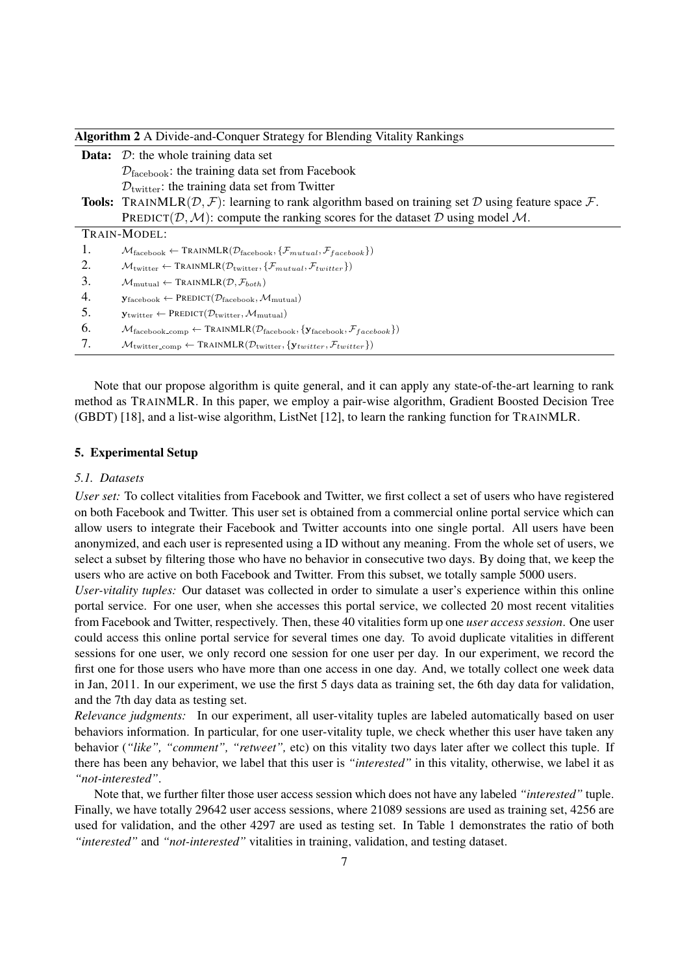| <b>Algorithm 2</b> A Divide-and-Conquer Strategy for Blending Vitality Rankings |                                                                                                                                                                   |  |  |
|---------------------------------------------------------------------------------|-------------------------------------------------------------------------------------------------------------------------------------------------------------------|--|--|
|                                                                                 | <b>Data:</b> $\mathcal{D}$ : the whole training data set                                                                                                          |  |  |
|                                                                                 | $\mathcal{D}_{\text{facebook}}$ : the training data set from Facebook                                                                                             |  |  |
|                                                                                 | $Dtwitter$ : the training data set from Twitter                                                                                                                   |  |  |
|                                                                                 | <b>Tools:</b> TRAINMLR( $D$ , $F$ ): learning to rank algorithm based on training set D using feature space $F$ .                                                 |  |  |
|                                                                                 | PREDICT(D, M): compute the ranking scores for the dataset D using model M.                                                                                        |  |  |
|                                                                                 | TRAIN-MODEL:                                                                                                                                                      |  |  |
| 1.                                                                              | $\mathcal{M}_{\text{facebook}} \leftarrow \text{TRAINMLR}(\mathcal{D}_{\text{facebook}}, \{\mathcal{F}_{mutual}, \mathcal{F}_{facebook}\})$                       |  |  |
| 2.                                                                              | $\mathcal{M}_{\text{twitter}} \leftarrow \text{TRAINMLR}(\mathcal{D}_{\text{twitter}}, \{\mathcal{F}_{mutual}, \mathcal{F}_{twtiter}\})$                          |  |  |
| 3.                                                                              | $\mathcal{M}_{\text{mutual}} \leftarrow \text{TRAINMLR}(\mathcal{D}, \mathcal{F}_{both})$                                                                         |  |  |
| 4.                                                                              | $\mathbf{y}_{\text{facebook}} \leftarrow \text{PREDICT}(\mathcal{D}_{\text{facebook}}, \mathcal{M}_{\text{mutual}})$                                              |  |  |
| 5.                                                                              | $\mathbf{y}_{\text{twitter}} \leftarrow \text{PREDICT}(\mathcal{D}_{\text{twitter}}, \mathcal{M}_{\text{mutual}})$                                                |  |  |
| 6.                                                                              | $\mathcal{M}_{\text{facebook\_comp}} \leftarrow \text{TRANMLR}(\mathcal{D}_{\text{facebook}}, \{ \mathbf{y}_{\text{facebook}}, \mathcal{F}_{\text{facebook}} \})$ |  |  |
| 7.                                                                              | $\mathcal{M}_{\text{twitter\_comp}} \leftarrow \text{TRANMLR}(\mathcal{D}_{\text{twitter}}, \{y_{\text{twitter}}, \mathcal{F}_{\text{twitter}}\})$                |  |  |

Note that our propose algorithm is quite general, and it can apply any state-of-the-art learning to rank method as TRAINMLR. In this paper, we employ a pair-wise algorithm, Gradient Boosted Decision Tree (GBDT) [18], and a list-wise algorithm, ListNet [12], to learn the ranking function for TRAINMLR.

# 5. Experimental Setup

## *5.1. Datasets*

*User set:* To collect vitalities from Facebook and Twitter, we first collect a set of users who have registered on both Facebook and Twitter. This user set is obtained from a commercial online portal service which can allow users to integrate their Facebook and Twitter accounts into one single portal. All users have been anonymized, and each user is represented using a ID without any meaning. From the whole set of users, we select a subset by filtering those who have no behavior in consecutive two days. By doing that, we keep the users who are active on both Facebook and Twitter. From this subset, we totally sample 5000 users.

*User-vitality tuples:* Our dataset was collected in order to simulate a user's experience within this online portal service. For one user, when she accesses this portal service, we collected 20 most recent vitalities from Facebook and Twitter, respectively. Then, these 40 vitalities form up one *user access session*. One user could access this online portal service for several times one day. To avoid duplicate vitalities in different sessions for one user, we only record one session for one user per day. In our experiment, we record the first one for those users who have more than one access in one day. And, we totally collect one week data in Jan, 2011. In our experiment, we use the first 5 days data as training set, the 6th day data for validation, and the 7th day data as testing set.

*Relevance judgments:* In our experiment, all user-vitality tuples are labeled automatically based on user behaviors information. In particular, for one user-vitality tuple, we check whether this user have taken any behavior (*"like", "comment", "retweet",* etc) on this vitality two days later after we collect this tuple. If there has been any behavior, we label that this user is *"interested"* in this vitality, otherwise, we label it as *"not-interested"*.

Note that, we further filter those user access session which does not have any labeled *"interested"* tuple. Finally, we have totally 29642 user access sessions, where 21089 sessions are used as training set, 4256 are used for validation, and the other 4297 are used as testing set. In Table 1 demonstrates the ratio of both *"interested"* and *"not-interested"* vitalities in training, validation, and testing dataset.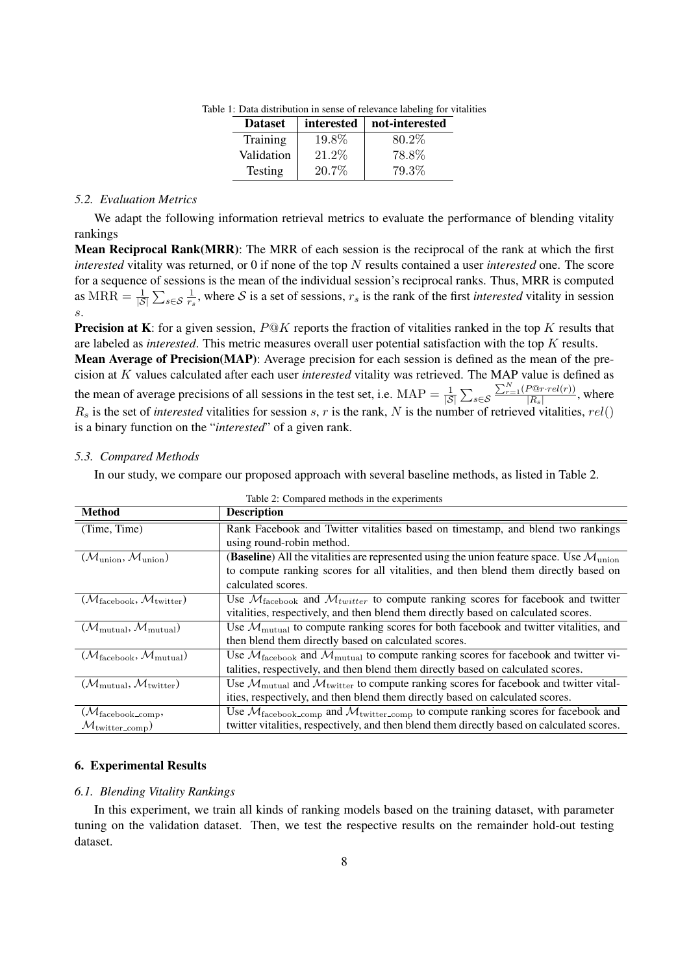| <b>Dataset</b> | interested | not-interested |
|----------------|------------|----------------|
| Training       | 19.8%      | 80.2\%         |
| Validation     | 21.2\%     | 78.8%          |
| Testing        | $20.7\%$   | 79.3%          |

Table 1: Data distribution in sense of relevance labeling for vitalities

## *5.2. Evaluation Metrics*

We adapt the following information retrieval metrics to evaluate the performance of blending vitality rankings

Mean Reciprocal Rank(MRR): The MRR of each session is the reciprocal of the rank at which the first *interested* vitality was returned, or 0 if none of the top *N* results contained a user *interested* one. The score for a sequence of sessions is the mean of the individual session's reciprocal ranks. Thus, MRR is computed as  $MRR = \frac{1}{|\mathcal{S}|} \sum_{s \in \mathcal{S}} \frac{1}{r_s}$  $\frac{1}{r_s}$ , where *S* is a set of sessions,  $r_s$  is the rank of the first *interested* vitality in session *s*.

Precision at K: for a given session, *P*@*K* reports the fraction of vitalities ranked in the top *K* results that are labeled as *interested*. This metric measures overall user potential satisfaction with the top *K* results.

Mean Average of Precision(MAP): Average precision for each session is defined as the mean of the precision at *K* values calculated after each user *interested* vitality was retrieved. The MAP value is defined as the mean of average precisions of all sessions in the test set, i.e. MAP =  $\frac{1}{|S|} \sum_{s \in S}$  $\sum_{r=1}^{N} (P@r \cdot rel(r))$  $\frac{F \& F \cdot (F)}{|R_s|}$ , where  $R_s$  is the set of *interested* vitalities for session *s*, *r* is the rank, *N* is the number of retrieved vitalities, *rel*() is a binary function on the "*interested*" of a given rank.

#### *5.3. Compared Methods*

In our study, we compare our proposed approach with several baseline methods, as listed in Table 2.

| <b>Method</b>                                                   | <b>Description</b>                                                                                                             |  |  |  |  |
|-----------------------------------------------------------------|--------------------------------------------------------------------------------------------------------------------------------|--|--|--|--|
| (Time, Time)                                                    | Rank Facebook and Twitter vitalities based on timestamp, and blend two rankings                                                |  |  |  |  |
|                                                                 | using round-robin method.                                                                                                      |  |  |  |  |
| $(\mathcal{M}_{\text{union}}, \mathcal{M}_{\text{union}})$      | <b>(Baseline)</b> All the vitalities are represented using the union feature space. Use $\mathcal{M}_{\text{union}}$           |  |  |  |  |
|                                                                 | to compute ranking scores for all vitalities, and then blend them directly based on                                            |  |  |  |  |
|                                                                 | calculated scores.                                                                                                             |  |  |  |  |
| $(\mathcal{M}_{\text{facebook}}, \mathcal{M}_{\text{twitter}})$ | Use $M_{\text{facebook}}$ and $M_{\text{twitter}}$ to compute ranking scores for facebook and twitter                          |  |  |  |  |
|                                                                 | vitalities, respectively, and then blend them directly based on calculated scores.                                             |  |  |  |  |
| $(\mathcal{M}_{\text{mutual}}, \mathcal{M}_{\text{mutual}})$    | Use $\mathcal{M}_{\text{mutual}}$ to compute ranking scores for both facebook and twitter vitalities, and                      |  |  |  |  |
|                                                                 | then blend them directly based on calculated scores.                                                                           |  |  |  |  |
| $(\mathcal{M}_{\text{facebook}}, \mathcal{M}_{\text{mutual}})$  | Use $\mathcal{M}_{\text{facebook}}$ and $\mathcal{M}_{\text{mutual}}$ to compute ranking scores for facebook and twitter vi-   |  |  |  |  |
|                                                                 | talities, respectively, and then blend them directly based on calculated scores.                                               |  |  |  |  |
| $(\mathcal{M}_{\text{mutual}}, \mathcal{M}_{\text{twitter}})$   | Use $\mathcal{M}_{\text{mutual}}$ and $\mathcal{M}_{\text{twitter}}$ to compute ranking scores for facebook and twitter vital- |  |  |  |  |
|                                                                 | ities, respectively, and then blend them directly based on calculated scores.                                                  |  |  |  |  |
| $(\mathcal{M}_{\text{facebook\_comp}},$                         | Use $\mathcal{M}_{\text{facebook\_comp}}$ and $\mathcal{M}_{\text{twitter\_comp}}$ to compute ranking scores for facebook and  |  |  |  |  |
| $\mathcal{M}_{\text{twitter\_comp}}$                            | twitter vitalities, respectively, and then blend them directly based on calculated scores.                                     |  |  |  |  |

Table 2: Compared methods in the experiments

## 6. Experimental Results

## *6.1. Blending Vitality Rankings*

In this experiment, we train all kinds of ranking models based on the training dataset, with parameter tuning on the validation dataset. Then, we test the respective results on the remainder hold-out testing dataset.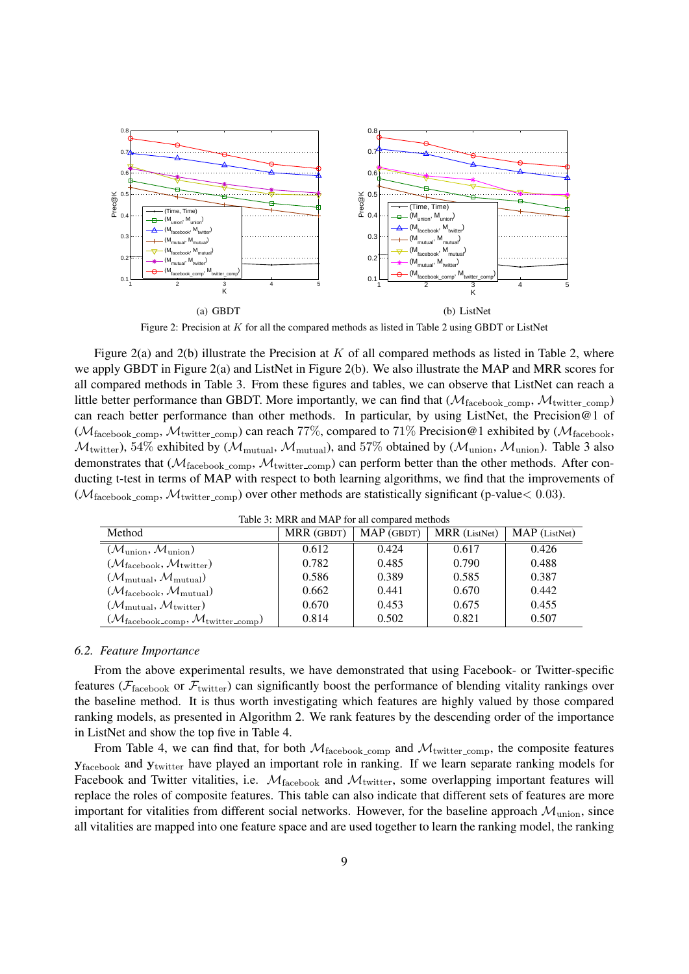

Figure 2: Precision at *K* for all the compared methods as listed in Table 2 using GBDT or ListNet

Figure 2(a) and 2(b) illustrate the Precision at *K* of all compared methods as listed in Table 2, where we apply GBDT in Figure 2(a) and ListNet in Figure 2(b). We also illustrate the MAP and MRR scores for all compared methods in Table 3. From these figures and tables, we can observe that ListNet can reach a little better performance than GBDT. More importantly, we can find that  $(M_{\text{facebook comp}}, M_{\text{twitter comp}})$ can reach better performance than other methods. In particular, by using ListNet, the Precision@1 of ( $M_{\text{facebook\_comp}}$ ,  $M_{\text{twitter\_comp}}$ ) can reach 77%, compared to 71% Precision@1 exhibited by ( $M_{\text{facebook}}$ ,  $M_{\text{twitter}}$ ), 54% exhibited by ( $M_{\text{mutual}}$ ,  $M_{\text{mutual}}$ ), and 57% obtained by ( $M_{\text{union}}$ ,  $M_{\text{union}}$ ). Table 3 also demonstrates that ( $M_{\text{facebook\_comp}}$ ,  $M_{\text{twitter\_comp}}$ ) can perform better than the other methods. After conducting t-test in terms of MAP with respect to both learning algorithms, we find that the improvements of  $(M_{\text{facebook\_comp}}, M_{\text{twitter\_comp}})$  over other methods are statistically significant (p-value $< 0.03$ ).

| Tuble by the all and the following the model of the control of the control of the control of the control of the |            |            |               |                 |  |  |  |
|-----------------------------------------------------------------------------------------------------------------|------------|------------|---------------|-----------------|--|--|--|
| Method                                                                                                          | MRR (GBDT) | MAP (GBDT) | MRR (ListNet) | $MAP$ (ListNet) |  |  |  |
| $(\mathcal{M}_{\text{union}}, \mathcal{M}_{\text{union}})$                                                      | 0.612      | 0.424      | 0.617         | 0.426           |  |  |  |
| $(\mathcal{M}_{\text{facebook}}, \mathcal{M}_{\text{twitter}})$                                                 | 0.782      | 0.485      | 0.790         | 0.488           |  |  |  |
| $(\mathcal{M}_{\text{mutual}}, \mathcal{M}_{\text{mutual}})$                                                    | 0.586      | 0.389      | 0.585         | 0.387           |  |  |  |
| $(\mathcal{M}_{\text{facebook}}, \mathcal{M}_{\text{mutual}})$                                                  | 0.662      | 0.441      | 0.670         | 0.442           |  |  |  |
| $(\mathcal{M}_{\text{mutual}}, \mathcal{M}_{\text{twitter}})$                                                   | 0.670      | 0.453      | 0.675         | 0.455           |  |  |  |
| $(\mathcal{M}_{\text{facebook\_comp}}, \mathcal{M}_{\text{twitter\_comp}})$                                     | 0.814      | 0.502      | 0.821         | 0.507           |  |  |  |

Table 3: MRR and MAP for all compared methods

## *6.2. Feature Importance*

From the above experimental results, we have demonstrated that using Facebook- or Twitter-specific features ( $\mathcal{F}_{\text{facebook}}$  or  $\mathcal{F}_{\text{twitter}}$ ) can significantly boost the performance of blending vitality rankings over the baseline method. It is thus worth investigating which features are highly valued by those compared ranking models, as presented in Algorithm 2. We rank features by the descending order of the importance in ListNet and show the top five in Table 4.

From Table 4, we can find that, for both  $M_{\text{facebook\_comp}}$  and  $M_{\text{twitter\_comp}}$ , the composite features **y**facebook and **y**twitter have played an important role in ranking. If we learn separate ranking models for Facebook and Twitter vitalities, i.e.  $M_{\text{facebook}}$  and  $M_{\text{twitter}}$ , some overlapping important features will replace the roles of composite features. This table can also indicate that different sets of features are more important for vitalities from different social networks. However, for the baseline approach  $M_{\text{union}}$ , since all vitalities are mapped into one feature space and are used together to learn the ranking model, the ranking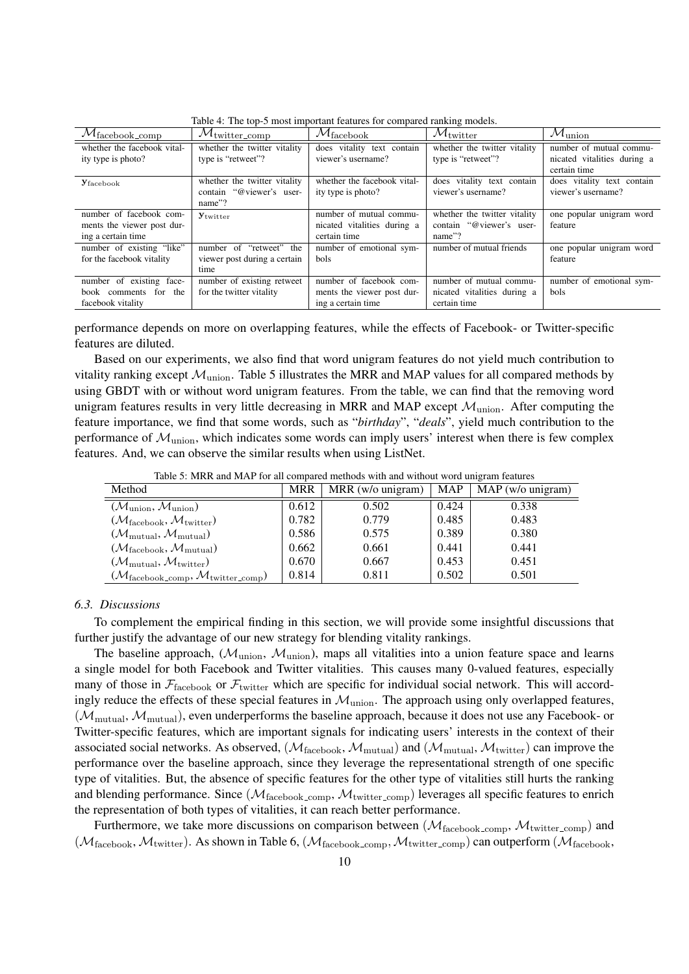| $\mathcal{M}_{\mathrm{facebook\_comp}}$ | $\mathcal{M}_{\rm twitter\_comp}$ | $\mathcal{M}_{\rm facebook}$ | $\mathcal{M}_{\rm twitter}$  | $\mathcal{M}_{\rm union}$   |
|-----------------------------------------|-----------------------------------|------------------------------|------------------------------|-----------------------------|
| whether the facebook vital-             | whether the twitter vitality      | does vitality text contain   | whether the twitter vitality | number of mutual commu-     |
| ity type is photo?                      | type is "retweet"?                | viewer's username?           | type is "retweet"?           | nicated vitalities during a |
|                                         |                                   |                              |                              | certain time                |
| <b>Y</b> facebook                       | whether the twitter vitality      | whether the facebook vital-  | does vitality text contain   | does vitality text contain  |
|                                         | contain "@viewer's user-          | ity type is photo?           | viewer's username?           | viewer's username?          |
|                                         | name"?                            |                              |                              |                             |
| number of facebook com-                 | Ytwitter                          | number of mutual commu-      | whether the twitter vitality | one popular unigram word    |
| ments the viewer post dur-              |                                   | nicated vitalities during a  | contain "@viewer's user-     | feature                     |
| ing a certain time                      |                                   | certain time                 | name"?                       |                             |
| number of existing "like"               | number of "retweet" the           | number of emotional sym-     | number of mutual friends     | one popular unigram word    |
| for the facebook vitality               | viewer post during a certain      | <b>bols</b>                  |                              | feature                     |
|                                         | time                              |                              |                              |                             |
| number of existing face-                | number of existing retweet        | number of facebook com-      | number of mutual commu-      | number of emotional sym-    |
| book comments for the                   | for the twitter vitality          | ments the viewer post dur-   | nicated vitalities during a  | <b>bols</b>                 |
| facebook vitality                       |                                   | ing a certain time           | certain time                 |                             |

Table 4: The top-5 most important features for compared ranking models.

performance depends on more on overlapping features, while the effects of Facebook- or Twitter-specific features are diluted.

Based on our experiments, we also find that word unigram features do not yield much contribution to vitality ranking except  $\mathcal{M}_{\text{union}}$ . Table 5 illustrates the MRR and MAP values for all compared methods by using GBDT with or without word unigram features. From the table, we can find that the removing word unigram features results in very little decreasing in MRR and MAP except *M*union. After computing the feature importance, we find that some words, such as "*birthday*", "*deals*", yield much contribution to the performance of  $M_{\text{union}}$ , which indicates some words can imply users' interest when there is few complex features. And, we can observe the similar results when using ListNet.

| Method                                                                      | <b>MRR</b> | $MRR$ (w/o unigram) | MAP   | $MAP$ (w/o unigram) |
|-----------------------------------------------------------------------------|------------|---------------------|-------|---------------------|
| $(\mathcal{M}_{\text{union}}, \mathcal{M}_{\text{union}})$                  | 0.612      | 0.502               | 0.424 | 0.338               |
| $(\mathcal{M}_{\text{facebook}}, \mathcal{M}_{\text{twitter}})$             | 0.782      | 0.779               | 0.485 | 0.483               |
| $(\mathcal{M}_{\text{mutual}}, \mathcal{M}_{\text{mutual}})$                | 0.586      | 0.575               | 0.389 | 0.380               |
| $(\mathcal{M}_{\text{facebook}}, \mathcal{M}_{\text{mutual}})$              | 0.662      | 0.661               | 0.441 | 0.441               |
| $(\mathcal{M}_{\text{mutual}}, \mathcal{M}_{\text{twitter}})$               | 0.670      | 0.667               | 0.453 | 0.451               |
| $(\mathcal{M}_{\text{facebook\_comp}}, \mathcal{M}_{\text{twitter\_comp}})$ | 0.814      | 0.811               | 0.502 | 0.501               |

Table 5: MRR and MAP for all compared methods with and without word unigram features

#### *6.3. Discussions*

To complement the empirical finding in this section, we will provide some insightful discussions that further justify the advantage of our new strategy for blending vitality rankings.

The baseline approach, ( $M_{\text{union}}$ ,  $M_{\text{union}}$ ), maps all vitalities into a union feature space and learns a single model for both Facebook and Twitter vitalities. This causes many 0-valued features, especially many of those in  $\mathcal{F}_{\text{facebook}}$  or  $\mathcal{F}_{\text{twitter}}$  which are specific for individual social network. This will accordingly reduce the effects of these special features in  $\mathcal{M}_{\text{union}}$ . The approach using only overlapped features, (*M*mutual, *M*mutual), even underperforms the baseline approach, because it does not use any Facebook- or Twitter-specific features, which are important signals for indicating users' interests in the context of their associated social networks. As observed, ( $\mathcal{M}_{\text{facebook}}$ ,  $\mathcal{M}_{\text{mutual}}$ ) and ( $\mathcal{M}_{\text{mutual}}$ ,  $\mathcal{M}_{\text{twitter}}$ ) can improve the performance over the baseline approach, since they leverage the representational strength of one specific type of vitalities. But, the absence of specific features for the other type of vitalities still hurts the ranking and blending performance. Since  $(M_{\text{facebook\_comp}}, M_{\text{twitter\_comp}})$  leverages all specific features to enrich the representation of both types of vitalities, it can reach better performance.

Furthermore, we take more discussions on comparison between ( $M_{\text{facebook\_comp}}$ ,  $M_{\text{twitter\_comp}}$ ) and  $(M_{\text{facebook}}, M_{\text{twitter}})$ . As shown in Table 6,  $(M_{\text{facebook\_comp}}, M_{\text{twitter\_comp}})$  can outperform  $(M_{\text{facebook}}, M_{\text{twitter}})$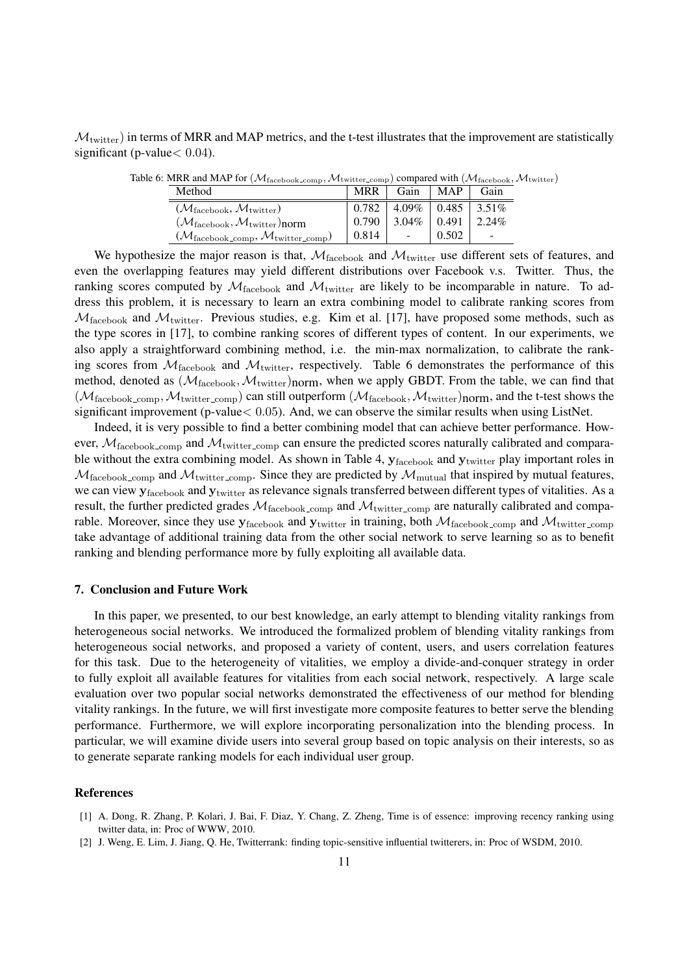$M<sub>twitter</sub>$ ) in terms of MRR and MAP metrics, and the t-test illustrates that the improvement are statistically significant (p-value*<* 0*.*04).

| Method                                                                      | <b>MRR</b> | Gain                     | <b>MAP</b> | Gain     |
|-----------------------------------------------------------------------------|------------|--------------------------|------------|----------|
| $(\mathcal{M}_{\text{facebook}}, \mathcal{M}_{\text{twitter}})$             | 0.782      | $4.09\% \pm 0.485$       |            | $3.51\%$ |
| $(\mathcal{M}_{\text{facebook}}, \mathcal{M}_{\text{twitter}})$ norm        | 0.790      | $3.04\% \pm 0.491$       |            | 2.24%    |
| $(\mathcal{M}_{\text{facebook\_comp}}, \mathcal{M}_{\text{twitter\_comp}})$ | 0.814      | $\overline{\phantom{a}}$ | 0.502      |          |

Table 6: MRR and MAP for  $(M_{\text{facebook},\text{comp}}, M_{\text{twitter},\text{comp}})$  compared with  $(M_{\text{facebook}}, M_{\text{twitter}})$ 

We hypothesize the major reason is that,  $M_{\text{facebook}}$  and  $M_{\text{twitter}}$  use different sets of features, and even the overlapping features may yield different distributions over Facebook v.s. Twitter. Thus, the ranking scores computed by  $\mathcal{M}_{\text{facebook}}$  and  $\mathcal{M}_{\text{twitter}}$  are likely to be incomparable in nature. To address this problem, it is necessary to learn an extra combining model to calibrate ranking scores from  $M_{\text{facebook}}$  and  $M_{\text{twitter}}$ . Previous studies, e.g. Kim et al. [17], have proposed some methods, such as the type scores in [17], to combine ranking scores of different types of content. In our experiments, we also apply a straightforward combining method, i.e. the min-max normalization, to calibrate the ranking scores from  $M_{\text{facebook}}$  and  $M_{\text{twitter}}$ , respectively. Table 6 demonstrates the performance of this method, denoted as  $(M_{\text{facebook}}, M_{\text{twitter}})$ norm, when we apply GBDT. From the table, we can find that  $(M_{\text{facebook\_comp}}, \mathcal{M}_{\text{twitter\_comp}})$  can still outperform  $(M_{\text{facebook}}, \mathcal{M}_{\text{twitter}})$ norm, and the t-test shows the significant improvement (p-value*<* 0*.*05). And, we can observe the similar results when using ListNet.

Indeed, it is very possible to find a better combining model that can achieve better performance. However,  $M_{\text{facebook\_comp}}$  and  $M_{\text{twitter\_comp}}$  can ensure the predicted scores naturally calibrated and comparable without the extra combining model. As shown in Table 4, **y**facebook and **y**twitter play important roles in  $M_{\text{facebook\_comp}}$  and  $M_{\text{twitter\_comp}}$ . Since they are predicted by  $M_{\text{mutual}}$  that inspired by mutual features, we can view **y**facebook and **y**twitter as relevance signals transferred between different types of vitalities. As a result, the further predicted grades  $M_{\text{facebook\_comp}}$  and  $M_{\text{twitter\_comp}}$  are naturally calibrated and comparable. Moreover, since they use  $y_{\text{facebook}}$  and  $y_{\text{twitter}}$  in training, both  $M_{\text{facebook\_comp}}$  and  $M_{\text{twitter\_comp}}$ take advantage of additional training data from the other social network to serve learning so as to benefit ranking and blending performance more by fully exploiting all available data.

#### 7. Conclusion and Future Work

In this paper, we presented, to our best knowledge, an early attempt to blending vitality rankings from heterogeneous social networks. We introduced the formalized problem of blending vitality rankings from heterogeneous social networks, and proposed a variety of content, users, and users correlation features for this task. Due to the heterogeneity of vitalities, we employ a divide-and-conquer strategy in order to fully exploit all available features for vitalities from each social network, respectively. A large scale evaluation over two popular social networks demonstrated the effectiveness of our method for blending vitality rankings. In the future, we will first investigate more composite features to better serve the blending performance. Furthermore, we will explore incorporating personalization into the blending process. In particular, we will examine divide users into several group based on topic analysis on their interests, so as to generate separate ranking models for each individual user group.

#### References

- [1] A. Dong, R. Zhang, P. Kolari, J. Bai, F. Diaz, Y. Chang, Z. Zheng, Time is of essence: improving recency ranking using twitter data, in: Proc of WWW, 2010.
- [2] J. Weng, E. Lim, J. Jiang, Q. He, Twitterrank: finding topic-sensitive influential twitterers, in: Proc of WSDM, 2010.